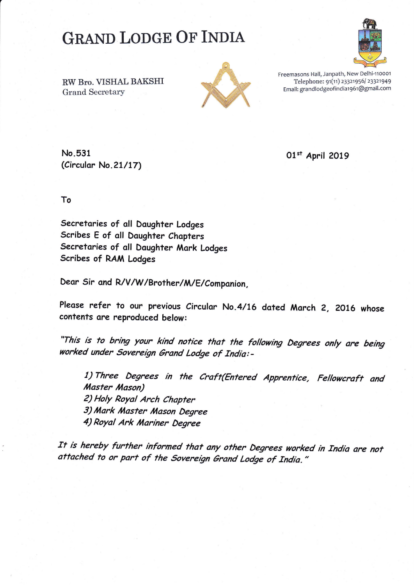## **GRAND LODGE OF INDIA**



RW Bro. VISHAL BAKSHI **Grand Secretary** 



Freemasons Hall, Janpath, New Delhi-110001 Telephone: 91(11) 23321956/ 23321949 Email: grandlodgeofindia1961@gmail.com

No.531 (Circular No. 21/17)

01st April 2019

To

Secretaries of all Daughter Lodges Scribes E of all Daughter Chapters Secretaries of all Daughter Mark Lodges Scribes of RAM Lodges

Dear Sir and R/V/W/Brother/M/E/Companion,

Please refer to our previous Circular No.4/16 dated March 2, 2016 whose contents are reproduced below:

"This is to bring your kind notice that the following Degrees only are being worked under Sovereign Grand Lodge of India:-

1) Three Degrees in the Craft(Entered Apprentice, Fellowcraft and Master Mason) 2) Holy Royal Arch Chapter 3) Mark Master Mason Degree 4) Royal Ark Mariner Degree

It is hereby further informed that any other Degrees worked in India are not attached to or part of the Sovereign Grand Lodge of India."